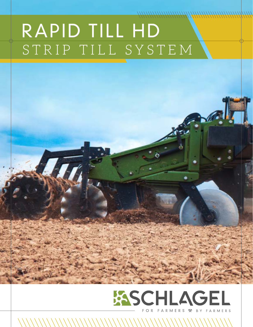# RAPID TILL HD STRIP TILL SYSTEM



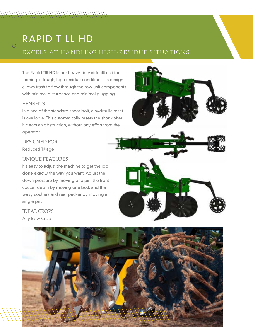# RAPID TILL HD

## EXCELS AT HANDLING HIGH-RESIDUE SITUATIONS

The Rapid Till HD is our heavy-duty strip till unit for farming in tough, high-residue conditions. Its design allows trash to flow through the row unit components with minimal disturbance and minimal plugging.

#### **BENEFITS**

In place of the standard shear bolt, a hydraulic reset is available. This automatically resets the shank after it clears an obstruction, without any effort from the operator.

### DESIGNED FOR

Reduced Tillage

### UNIQUE FEATURES

It's easy to adjust the machine to get the job done exactly the way you want. Adjust the down-pressure by moving one pin; the front coulter depth by moving one bolt; and the wavy coulters and rear packer by moving a single pin.

IDEAL CROPS Any Row Crop



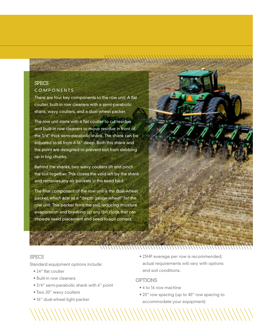### **SPECS** COMPONENTS

There are four key components to the row unit: A flat coulter, built-in row cleaners with a semi-parabolic shank, wavy coulters, and a dual-wheel packer.

The row unit starts with a flat coulter to cut residue and built-in row cleaners to move residue in front of the 3/4" thick semi-parabolic shank. The shank can be adjusted to till from 6-16" deep. Both this shank and the point are designed to prevent soil from slabbing up in big chunks.

Behind the shanks, two wavy coulters lift and pinch the soil together. This closes the void left by the shank and removes any air pockets in the seed bed.

The final component of the row unit is the dual-wheel packer, which acts as a "depth gauge wheel" for the row unit. This packer firms the soil, reducing moisture evaporation and breaking up any dirt clods that can impede seed placement and seed-to-soil contact.



#### SPECS

Standard equipment options include:

- 24" flat coulter
- Built-in row cleaners
- 3/4" semi-parabolic shank with 6" point
- Two 20" wavy coulters
- 16" dual-wheel light packer

• 25HP average per row is recommended; actual requirements will vary with options and soil conditions.

#### **OPTIONS**

- 4 to 16 row machine
- 20" row spacing (up to 40" row spacing to accommodate your equipment)